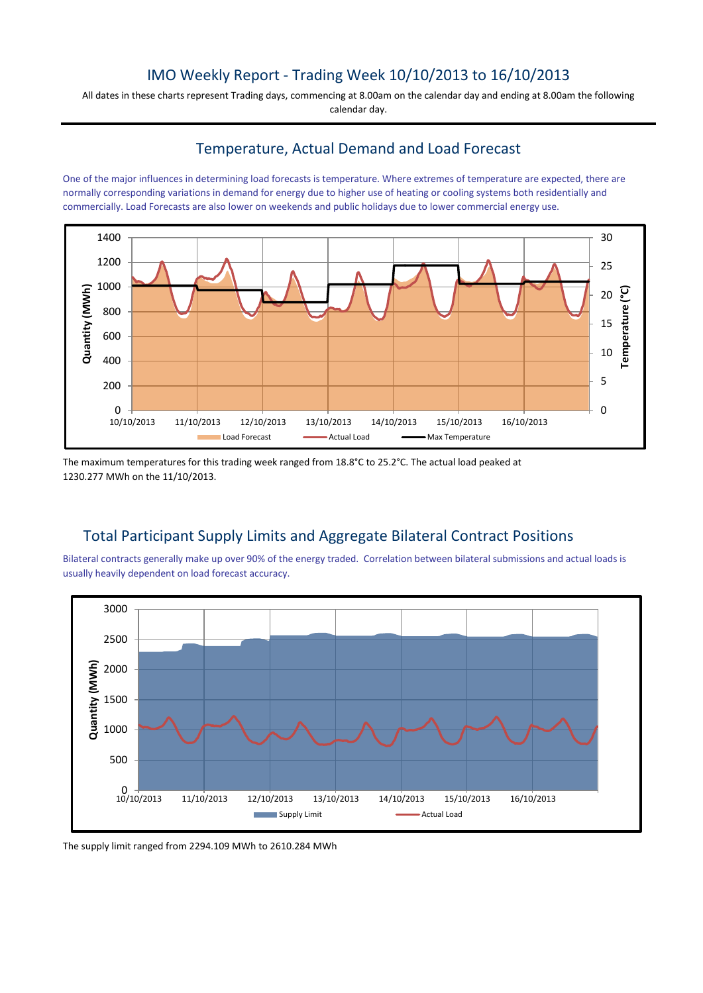## IMO Weekly Report - Trading Week 10/10/2013 to 16/10/2013

All dates in these charts represent Trading days, commencing at 8.00am on the calendar day and ending at 8.00am the following calendar day.

#### Temperature, Actual Demand and Load Forecast

One of the major influences in determining load forecasts is temperature. Where extremes of temperature are expected, there are normally corresponding variations in demand for energy due to higher use of heating or cooling systems both residentially and commercially. Load Forecasts are also lower on weekends and public holidays due to lower commercial energy use.



The maximum temperatures for this trading week ranged from 18.8°C to 25.2°C. The actual load peaked at 1230.277 MWh on the 11/10/2013.

# Total Participant Supply Limits and Aggregate Bilateral Contract Positions

Bilateral contracts generally make up over 90% of the energy traded. Correlation between bilateral submissions and actual loads is usually heavily dependent on load forecast accuracy.



The supply limit ranged from 2294.109 MWh to 2610.284 MWh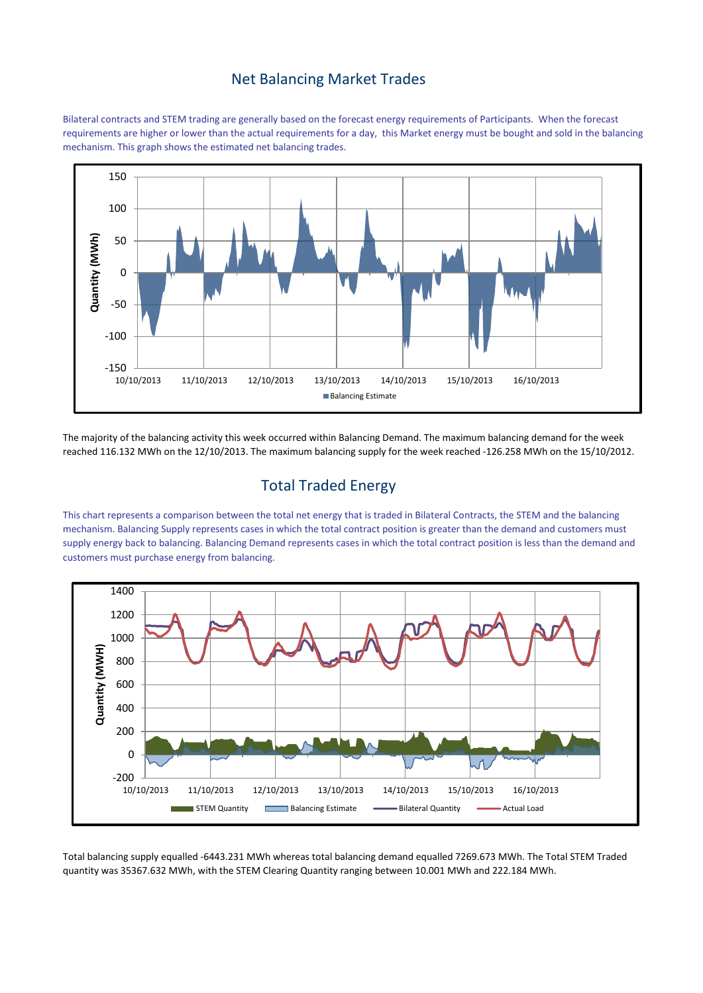#### Net Balancing Market Trades

Bilateral contracts and STEM trading are generally based on the forecast energy requirements of Participants. When the forecast requirements are higher or lower than the actual requirements for a day, this Market energy must be bought and sold in the balancing mechanism. This graph shows the estimated net balancing trades.



The majority of the balancing activity this week occurred within Balancing Demand. The maximum balancing demand for the week reached 116.132 MWh on the 12/10/2013. The maximum balancing supply for the week reached -126.258 MWh on the 15/10/2012.

## Total Traded Energy

This chart represents a comparison between the total net energy that is traded in Bilateral Contracts, the STEM and the balancing mechanism. Balancing Supply represents cases in which the total contract position is greater than the demand and customers must supply energy back to balancing. Balancing Demand represents cases in which the total contract position is less than the demand and customers must purchase energy from balancing.



Total balancing supply equalled -6443.231 MWh whereas total balancing demand equalled 7269.673 MWh. The Total STEM Traded quantity was 35367.632 MWh, with the STEM Clearing Quantity ranging between 10.001 MWh and 222.184 MWh.